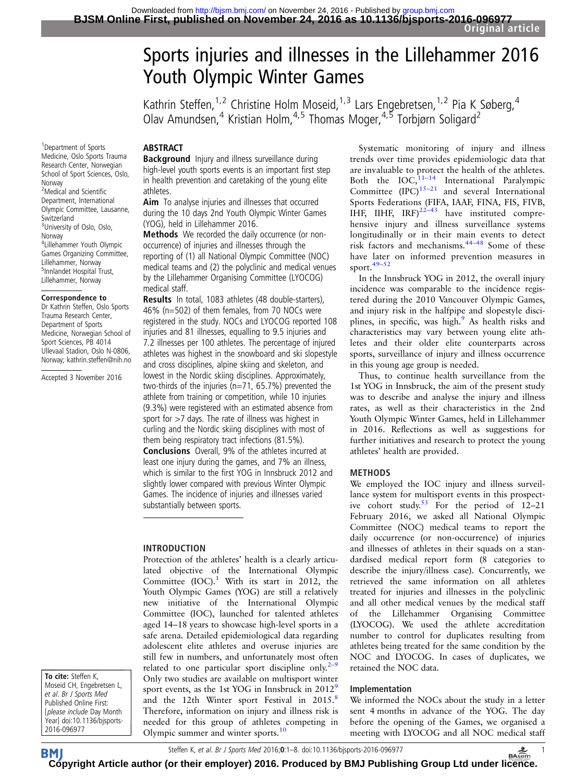# Sports injuries and illnesses in the Lillehammer 2016 Youth Olympic Winter Games

Kathrin Steffen,<sup>1,2</sup> Christine Holm Moseid,<sup>1,3</sup> Lars Engebretsen,<sup>1,2</sup> Pia K Søberg,<sup>4</sup> Olav Amundsen,<sup>4</sup> Kristian Holm,<sup>4,5</sup> Thomas Moger,<sup>4,5</sup> Torbjørn Soligard<sup>2</sup>

# ABSTRACT

**Background** Injury and illness surveillance during high-level youth sports events is an important first step in health prevention and caretaking of the young elite athletes.

**Aim** To analyse injuries and illnesses that occurred during the 10 days 2nd Youth Olympic Winter Games (YOG), held in Lillehammer 2016.

Methods We recorded the daily occurrence (or nonoccurrence) of injuries and illnesses through the reporting of (1) all National Olympic Committee (NOC) medical teams and (2) the polyclinic and medical venues by the Lillehammer Organising Committee (LYOCOG) medical staff.

Results In total, 1083 athletes (48 double-starters), 46% (n=502) of them females, from 70 NOCs were registered in the study. NOCs and LYOCOG reported 108 injuries and 81 illnesses, equalling to 9.5 injuries and 7.2 illnesses per 100 athletes. The percentage of injured athletes was highest in the snowboard and ski slopestyle and cross disciplines, alpine skiing and skeleton, and lowest in the Nordic skiing disciplines. Approximately, two-thirds of the injuries (n=71, 65.7%) prevented the athlete from training or competition, while 10 injuries (9.3%) were registered with an estimated absence from sport for >7 days. The rate of illness was highest in curling and the Nordic skiing disciplines with most of them being respiratory tract infections (81.5%). Conclusions Overall, 9% of the athletes incurred at least one injury during the games, and 7% an illness, which is similar to the first YOG in Innsbruck 2012 and slightly lower compared with previous Winter Olympic Games. The incidence of injuries and illnesses varied substantially between sports.

#### INTRODUCTION

Protection of the athletes' health is a clearly articulated objective of the International Olympic Committee (IOC). $1$  With its start in 2012, the Youth Olympic Games (YOG) are still a relatively new initiative of the International Olympic Committee (IOC), launched for talented athletes aged 14–18 years to showcase high-level sports in a safe arena. Detailed epidemiological data regarding adolescent elite athletes and overuse injuries are still few in numbers, and unfortunately most often related to one particular sport discipline only.<sup>[2](#page-6-0)–9</sup> Only two studies are available on multisport winter sport events, as the 1st YOG in Innsbruck in  $2012<sup>9</sup>$  $2012<sup>9</sup>$  $2012<sup>9</sup>$ and the 12th Winter sport Festival in 2015.<sup>[8](#page-6-0)</sup> Therefore, information on injury and illness risk is needed for this group of athletes competing in Olympic summer and winter sports.[10](#page-6-0)

Systematic monitoring of injury and illness trends over time provides epidemiologic data that are invaluable to protect the health of the athletes. Both the  $IOC<sub>1</sub><sup>11–14</sup>$  $IOC<sub>1</sub><sup>11–14</sup>$  $IOC<sub>1</sub><sup>11–14</sup>$  International Paralympic Committee  $(IPC)^{15-21}$  $(IPC)^{15-21}$  $(IPC)^{15-21}$  and several International Sports Federations (FIFA, IAAF, FINA, FIS, FIVB, IHF, IIHF,  $IRF)^{22-43}$  $IRF)^{22-43}$  $IRF)^{22-43}$  have instituted comprehensive injury and illness surveillance systems longitudinally or in their main events to detect risk factors and mechanisms.44–[48](#page-7-0) Some of these have later on informed prevention measures in sport.49–[52](#page-7-0)

In the Innsbruck YOG in 2012, the overall injury incidence was comparable to the incidence registered during the 2010 Vancouver Olympic Games, and injury risk in the halfpipe and slopestyle disci-plines, in specific, was high.<sup>[9](#page-6-0)</sup> As health risks and characteristics may vary between young elite athletes and their older elite counterparts across sports, surveillance of injury and illness occurrence in this young age group is needed.

Thus, to continue health surveillance from the 1st YOG in Innsbruck, the aim of the present study was to describe and analyse the injury and illness rates, as well as their characteristics in the 2nd Youth Olympic Winter Games, held in Lillehammer in 2016. Reflections as well as suggestions for further initiatives and research to protect the young athletes' health are provided.

#### METHODS

We employed the IOC injury and illness surveillance system for multisport events in this prospect-ive cohort study.<sup>[53](#page-7-0)</sup> For the period of  $12-21$ February 2016, we asked all National Olympic Committee (NOC) medical teams to report the daily occurrence (or non-occurrence) of injuries and illnesses of athletes in their squads on a standardised medical report form (8 categories to describe the injury/illness case). Concurrently, we retrieved the same information on all athletes treated for injuries and illnesses in the polyclinic and all other medical venues by the medical staff of the Lillehammer Organising Committee (LYOCOG). We used the athlete accreditation number to control for duplicates resulting from athletes being treated for the same condition by the NOC and LYOCOG. In cases of duplicates, we retained the NOC data.

#### Implementation

We informed the NOCs about the study in a letter sent 4 months in advance of the YOG. The day before the opening of the Games, we organised a meeting with LYOCOG and all NOC medical staff

1 Department of Sports Medicine, Oslo Sports Trauma Research Center, Norwegian School of Sport Sciences, Oslo, Norway <sup>2</sup>Medical and Scientific Department, International Olympic Committee, Lausanne, Switzerland <sup>3</sup>University of Oslo, Oslo, Norway 4 Lillehammer Youth Olympic Games Organizing Committee, Lillehammer, Norway <sup>5</sup>Innlandet Hospital Trust, Lillehammer, Norway

#### Correspondence to

Dr Kathrin Steffen, Oslo Sports Trauma Research Center, Department of Sports Medicine, Norwegian School of Sport Sciences, PB 4014 Ullevaal Stadion, Oslo N-0806, Norway; kathrin.steffen@nih.no

Accepted 3 November 2016

To cite: Steffen K, Moseid CH, Engebretsen L, et al. Br J Sports Med Published Online First: [please include Day Month Year] doi:10.1136/bjsports-2016-096977

Steffen K, et al. Br J Sports Med 2016;0:1–8. doi:10.1136/bjsports-2016-096977 1

**BM [Cop](http://bjsm.bmj.com)yright Article author (or their employer) 2016. Produced by BMJ Publishing Group Ltd under li[cenc](http://www.basem.co.uk/)e.**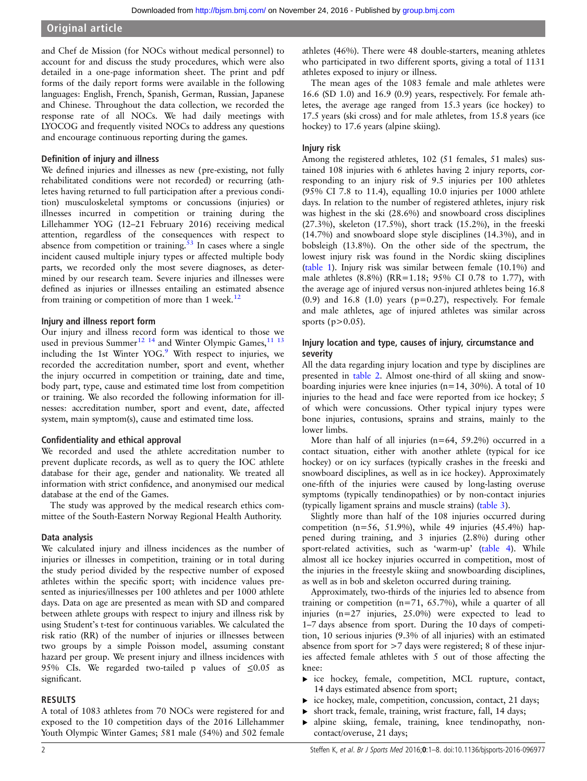and Chef de Mission (for NOCs without medical personnel) to account for and discuss the study procedures, which were also detailed in a one-page information sheet. The print and pdf forms of the daily report forms were available in the following languages: English, French, Spanish, German, Russian, Japanese and Chinese. Throughout the data collection, we recorded the response rate of all NOCs. We had daily meetings with LYOCOG and frequently visited NOCs to address any questions and encourage continuous reporting during the games.

## Definition of injury and illness

We defined injuries and illnesses as new (pre-existing, not fully rehabilitated conditions were not recorded) or recurring (athletes having returned to full participation after a previous condition) musculoskeletal symptoms or concussions (injuries) or illnesses incurred in competition or training during the Lillehammer YOG (12–21 February 2016) receiving medical attention, regardless of the consequences with respect to absence from competition or training. $53$  In cases where a single incident caused multiple injury types or affected multiple body parts, we recorded only the most severe diagnoses, as determined by our research team. Severe injuries and illnesses were defined as injuries or illnesses entailing an estimated absence from training or competition of more than  $1$  week.<sup>[12](#page-6-0)</sup>

### Injury and illness report form

Our injury and illness record form was identical to those we used in previous Summer<sup>[12](#page-6-0) [14](#page-7-0)</sup> and Winter Olympic Games,<sup>[11 13](#page-6-0)</sup> including the 1st Winter YOG.<sup>9</sup> With respect to injuries, we recorded the accreditation number, sport and event, whether the injury occurred in competition or training, date and time, body part, type, cause and estimated time lost from competition or training. We also recorded the following information for illnesses: accreditation number, sport and event, date, affected system, main symptom(s), cause and estimated time loss.

# Confidentiality and ethical approval

We recorded and used the athlete accreditation number to prevent duplicate records, as well as to query the IOC athlete database for their age, gender and nationality. We treated all information with strict confidence, and anonymised our medical database at the end of the Games.

The study was approved by the medical research ethics committee of the South-Eastern Norway Regional Health Authority.

# Data analysis

We calculated injury and illness incidences as the number of injuries or illnesses in competition, training or in total during the study period divided by the respective number of exposed athletes within the specific sport; with incidence values presented as injuries/illnesses per 100 athletes and per 1000 athlete days. Data on age are presented as mean with SD and compared between athlete groups with respect to injury and illness risk by using Student's t-test for continuous variables. We calculated the risk ratio (RR) of the number of injuries or illnesses between two groups by a simple Poisson model, assuming constant hazard per group. We present injury and illness incidences with 95% CIs. We regarded two-tailed p values of  $\leq 0.05$  as significant.

# RESULTS

A total of 1083 athletes from 70 NOCs were registered for and exposed to the 10 competition days of the 2016 Lillehammer Youth Olympic Winter Games; 581 male (54%) and 502 female

athletes (46%). There were 48 double-starters, meaning athletes who participated in two different sports, giving a total of 1131 athletes exposed to injury or illness.

The mean ages of the 1083 female and male athletes were 16.6 (SD 1.0) and 16.9 (0.9) years, respectively. For female athletes, the average age ranged from 15.3 years (ice hockey) to 17.5 years (ski cross) and for male athletes, from 15.8 years (ice hockey) to 17.6 years (alpine skiing).

# Injury risk

Among the registered athletes, 102 (51 females, 51 males) sustained 108 injuries with 6 athletes having 2 injury reports, corresponding to an injury risk of 9.5 injuries per 100 athletes (95% CI 7.8 to 11.4), equalling 10.0 injuries per 1000 athlete days. In relation to the number of registered athletes, injury risk was highest in the ski (28.6%) and snowboard cross disciplines (27.3%), skeleton (17.5%), short track (15.2%), in the freeski (14.7%) and snowboard slope style disciplines (14.3%), and in bobsleigh (13.8%). On the other side of the spectrum, the lowest injury risk was found in the Nordic skiing disciplines ([table 1\)](#page-2-0). Injury risk was similar between female (10.1%) and male athletes (8.8%) (RR=1.18; 95% CI 0.78 to 1.77), with the average age of injured versus non-injured athletes being 16.8  $(0.9)$  and 16.8  $(1.0)$  years  $(p=0.27)$ , respectively. For female and male athletes, age of injured athletes was similar across sports ( $p > 0.05$ ).

# Injury location and type, causes of injury, circumstance and severity

All the data regarding injury location and type by disciplines are presented in [table 2.](#page-3-0) Almost one-third of all skiing and snowboarding injuries were knee injuries (n=14, 30%). A total of 10 injuries to the head and face were reported from ice hockey; 5 of which were concussions. Other typical injury types were bone injuries, contusions, sprains and strains, mainly to the lower limbs.

More than half of all injuries  $(n=64, 59.2\%)$  occurred in a contact situation, either with another athlete (typical for ice hockey) or on icy surfaces (typically crashes in the freeski and snowboard disciplines, as well as in ice hockey). Approximately one-fifth of the injuries were caused by long-lasting overuse symptoms (typically tendinopathies) or by non-contact injuries (typically ligament sprains and muscle strains) ([table 3\)](#page-4-0).

Slightly more than half of the 108 injuries occurred during competition ( $n=56$ , 51.9%), while 49 injuries (45.4%) happened during training, and 3 injuries (2.8%) during other sport-related activities, such as 'warm-up' ([table 4\)](#page-4-0). While almost all ice hockey injuries occurred in competition, most of the injuries in the freestyle skiing and snowboarding disciplines, as well as in bob and skeleton occurred during training.

Approximately, two-thirds of the injuries led to absence from training or competition (n=71, 65.7%), while a quarter of all injuries (n=27 injuries, 25.0%) were expected to lead to 1–7 days absence from sport. During the 10 days of competition, 10 serious injuries (9.3% of all injuries) with an estimated absence from sport for >7 days were registered; 8 of these injuries affected female athletes with 5 out of those affecting the knee:

- ▸ ice hockey, female, competition, MCL rupture, contact, 14 days estimated absence from sport;
- $\triangleright$  ice hockey, male, competition, concussion, contact, 21 days;
- short track, female, training, wrist fracture, fall, 14 days;
- ▸ alpine skiing, female, training, knee tendinopathy, noncontact/overuse, 21 days;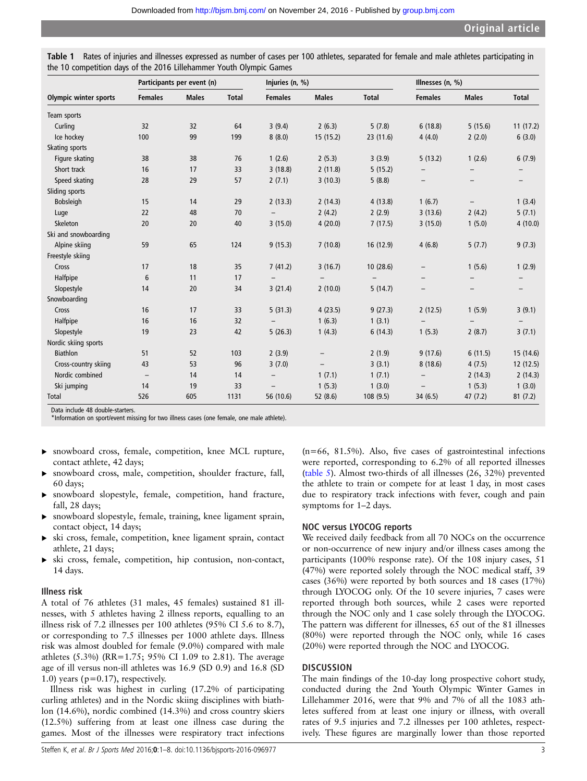<span id="page-2-0"></span>

| Table 1 Rates of injuries and illnesses expressed as number of cases per 100 athletes, separated for female and male athletes participating in |  |  |  |  |
|------------------------------------------------------------------------------------------------------------------------------------------------|--|--|--|--|
| the 10 competition days of the 2016 Lillehammer Youth Olympic Games                                                                            |  |  |  |  |

|                              | Participants per event (n) |              |              | Injuries (n, %)          |                          |              | Illnesses (n, %)         |                   |                          |  |
|------------------------------|----------------------------|--------------|--------------|--------------------------|--------------------------|--------------|--------------------------|-------------------|--------------------------|--|
| <b>Olympic winter sports</b> | <b>Females</b>             | <b>Males</b> | <b>Total</b> | <b>Females</b>           | <b>Males</b>             | <b>Total</b> | <b>Females</b>           | <b>Males</b>      | <b>Total</b>             |  |
| Team sports                  |                            |              |              |                          |                          |              |                          |                   |                          |  |
| Curling                      | 32                         | 32           | 64           | 3(9.4)                   | 2(6.3)                   | 5(7.8)       | 6(18.8)                  | 5(15.6)           | 11(17.2)                 |  |
| Ice hockey                   | 100                        | 99           | 199          | 8(8.0)                   | 15(15.2)                 | 23 (11.6)    | 4(4.0)                   | 2(2.0)            | 6(3.0)                   |  |
| Skating sports               |                            |              |              |                          |                          |              |                          |                   |                          |  |
| Figure skating               | 38                         | 38           | 76           | 1(2.6)                   | 2(5.3)                   | 3(3.9)       | 5(13.2)                  | 1(2.6)            | 6(7.9)                   |  |
| Short track                  | 16                         | 17           | 33           | 3(18.8)                  | 2(11.8)                  | 5(15.2)      |                          |                   |                          |  |
| Speed skating                | 28                         | 29           | 57           | 2(7.1)                   | 3(10.3)                  | 5(8.8)       | $\overline{\phantom{0}}$ | $\qquad \qquad -$ | $\qquad \qquad -$        |  |
| Sliding sports               |                            |              |              |                          |                          |              |                          |                   |                          |  |
| <b>Bobsleigh</b>             | 15                         | 14           | 29           | 2(13.3)                  | 2(14.3)                  | 4(13.8)      | 1(6.7)                   | $\qquad \qquad -$ | 1(3.4)                   |  |
| Luge                         | 22                         | 48           | 70           |                          | 2(4.2)                   | 2(2.9)       | 3(13.6)                  | 2(4.2)            | 5(7.1)                   |  |
| Skeleton                     | 20                         | 20           | 40           | 3(15.0)                  | 4(20.0)                  | 7(17.5)      | 3(15.0)                  | 1(5.0)            | 4(10.0)                  |  |
| Ski and snowboarding         |                            |              |              |                          |                          |              |                          |                   |                          |  |
| Alpine skiing                | 59                         | 65           | 124          | 9(15.3)                  | 7(10.8)                  | 16 (12.9)    | 4(6.8)                   | 5(7.7)            | 9(7.3)                   |  |
| Freestyle skiing             |                            |              |              |                          |                          |              |                          |                   |                          |  |
| Cross                        | 17                         | 18           | 35           | 7(41.2)                  | 3(16.7)                  | 10(28.6)     |                          | 1(5.6)            | 1(2.9)                   |  |
| Halfpipe                     | 6                          | 11           | 17           | $\overline{\phantom{a}}$ |                          |              | —                        | $\qquad \qquad -$ | $\qquad \qquad -$        |  |
| Slopestyle                   | 14                         | 20           | 34           | 3(21.4)                  | 2(10.0)                  | 5(14.7)      | $\qquad \qquad -$        | $\qquad \qquad -$ | $\overline{\phantom{0}}$ |  |
| Snowboarding                 |                            |              |              |                          |                          |              |                          |                   |                          |  |
| Cross                        | 16                         | 17           | 33           | 5(31.3)                  | 4(23.5)                  | 9(27.3)      | 2(12.5)                  | 1(5.9)            | 3(9.1)                   |  |
| Halfpipe                     | 16                         | 16           | 32           | $\overline{\phantom{a}}$ | 1(6.3)                   | 1(3.1)       |                          |                   | $\qquad \qquad -$        |  |
| Slopestyle                   | 19                         | 23           | 42           | 5(26.3)                  | 1(4.3)                   | 6(14.3)      | 1(5.3)                   | 2(8.7)            | 3(7.1)                   |  |
| Nordic skiing sports         |                            |              |              |                          |                          |              |                          |                   |                          |  |
| <b>Biathlon</b>              | 51                         | 52           | 103          | 2(3.9)                   | $\overline{\phantom{0}}$ | 2(1.9)       | 9(17.6)                  | 6(11.5)           | 15 (14.6)                |  |
| Cross-country skiing         | 43                         | 53           | 96           | 3(7.0)                   |                          | 3(3.1)       | 8(18.6)                  | 4(7.5)            | 12(12.5)                 |  |
| Nordic combined              | $\overline{\phantom{m}}$   | 14           | 14           | $\overline{\phantom{0}}$ | 1(7.1)                   | 1(7.1)       | $\qquad \qquad -$        | 2(14.3)           | 2(14.3)                  |  |
| Ski jumping                  | 14                         | 19           | 33           | $\overline{\phantom{0}}$ | 1(5.3)                   | 1(3.0)       | $\overline{\phantom{0}}$ | 1(5.3)            | 1(3.0)                   |  |
| Total                        | 526                        | 605          | 1131         | 56 (10.6)                | 52 (8.6)                 | 108 (9.5)    | 34 (6.5)                 | 47 (7.2)          | 81(7.2)                  |  |

Data include 48 double-starters.

\*Information on sport/event missing for two illness cases (one female, one male athlete).

- ▸ snowboard cross, female, competition, knee MCL rupture, contact athlete, 42 days;
- snowboard cross, male, competition, shoulder fracture, fall, 60 days;
- ▸ snowboard slopestyle, female, competition, hand fracture, fall, 28 days;
- ▸ snowboard slopestyle, female, training, knee ligament sprain, contact object, 14 days;
- ▸ ski cross, female, competition, knee ligament sprain, contact athlete, 21 days;
- ▸ ski cross, female, competition, hip contusion, non-contact, 14 days.

#### Illness risk

A total of 76 athletes (31 males, 45 females) sustained 81 illnesses, with 5 athletes having 2 illness reports, equalling to an illness risk of 7.2 illnesses per 100 athletes (95% CI 5.6 to 8.7), or corresponding to 7.5 illnesses per 1000 athlete days. Illness risk was almost doubled for female (9.0%) compared with male athletes (5.3%) (RR=1.75; 95% CI 1.09 to 2.81). The average age of ill versus non-ill athletes was 16.9 (SD 0.9) and 16.8 (SD 1.0) years ( $p=0.17$ ), respectively.

Illness risk was highest in curling (17.2% of participating curling athletes) and in the Nordic skiing disciplines with biathlon (14.6%), nordic combined (14.3%) and cross country skiers (12.5%) suffering from at least one illness case during the games. Most of the illnesses were respiratory tract infections

(n=66, 81.5%). Also, five cases of gastrointestinal infections were reported, corresponding to 6.2% of all reported illnesses ([table 5\)](#page-5-0). Almost two-thirds of all illnesses (26, 32%) prevented the athlete to train or compete for at least 1 day, in most cases due to respiratory track infections with fever, cough and pain symptoms for 1–2 days.

# NOC versus LYOCOG reports

We received daily feedback from all 70 NOCs on the occurrence or non-occurrence of new injury and/or illness cases among the participants (100% response rate). Of the 108 injury cases, 51 (47%) were reported solely through the NOC medical staff, 39 cases (36%) were reported by both sources and 18 cases (17%) through LYOCOG only. Of the 10 severe injuries, 7 cases were reported through both sources, while 2 cases were reported through the NOC only and 1 case solely through the LYOCOG. The pattern was different for illnesses, 65 out of the 81 illnesses (80%) were reported through the NOC only, while 16 cases (20%) were reported through the NOC and LYOCOG.

#### **DISCUSSION**

The main findings of the 10-day long prospective cohort study, conducted during the 2nd Youth Olympic Winter Games in Lillehammer 2016, were that 9% and 7% of all the 1083 athletes suffered from at least one injury or illness, with overall rates of 9.5 injuries and 7.2 illnesses per 100 athletes, respectively. These figures are marginally lower than those reported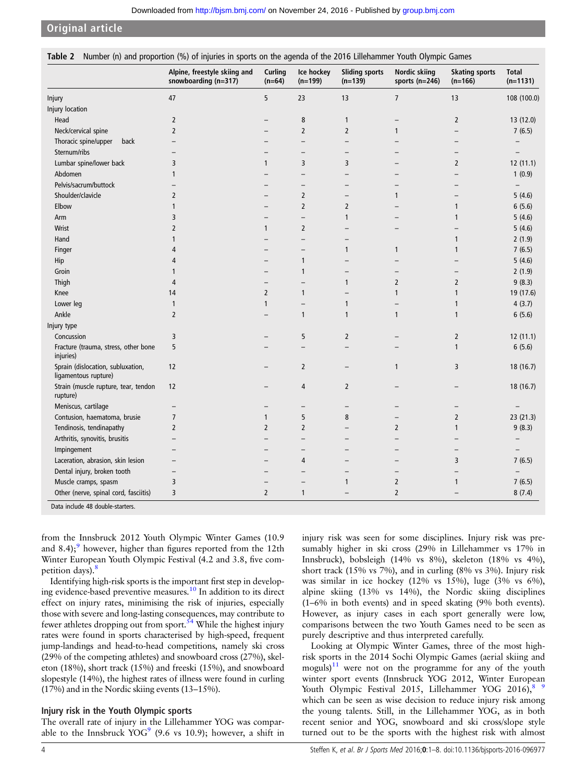<span id="page-3-0"></span>

|  | Table 2 Number (n) and proportion (%) of injuries in sports on the agenda of the 2016 Lillehammer Youth Olympic Games |  |  |  |  |
|--|-----------------------------------------------------------------------------------------------------------------------|--|--|--|--|
|--|-----------------------------------------------------------------------------------------------------------------------|--|--|--|--|

|                                                           | Alpine, freestyle skiing and<br>snowboarding (n=317) | Curling<br>$(n=64)$ | Ice hockey<br>$(n=199)$  | <b>Sliding sports</b><br>$(n=139)$ | <b>Nordic skiing</b><br>sports $(n=246)$ | <b>Skating sports</b><br>$(n=166)$ | <b>Total</b><br>$(n=1131)$ |
|-----------------------------------------------------------|------------------------------------------------------|---------------------|--------------------------|------------------------------------|------------------------------------------|------------------------------------|----------------------------|
| Injury                                                    | 47                                                   | 5                   | 23                       | 13                                 | $\overline{7}$                           | 13                                 | 108 (100.0)                |
| Injury location                                           |                                                      |                     |                          |                                    |                                          |                                    |                            |
| Head                                                      | $\overline{2}$                                       |                     | 8                        | $\mathbf{1}$                       |                                          | $\overline{2}$                     | 13 (12.0)                  |
| Neck/cervical spine                                       | $\overline{2}$                                       |                     | $\overline{2}$           | $\overline{2}$                     | 1                                        |                                    | 7(6.5)                     |
| Thoracic spine/upper<br>back                              | $\overline{\phantom{0}}$                             |                     | $\overline{\phantom{0}}$ |                                    |                                          | $\overline{\phantom{0}}$           |                            |
| Sternum/ribs                                              |                                                      |                     |                          | $\overline{\phantom{0}}$           |                                          | $\overline{\phantom{0}}$           | $\overline{\phantom{0}}$   |
| Lumbar spine/lower back                                   | 3                                                    | $\mathbf{1}$        | 3                        | 3                                  |                                          | $\overline{2}$                     | 12(11.1)                   |
| Abdomen                                                   | 1                                                    |                     |                          |                                    |                                          |                                    | 1(0.9)                     |
| Pelvis/sacrum/buttock                                     |                                                      |                     |                          |                                    |                                          |                                    | $\overline{a}$             |
| Shoulder/clavicle                                         | $\overline{2}$                                       |                     | 2                        | $\overline{\phantom{0}}$           | 1                                        | $\overline{\phantom{0}}$           | 5(4.6)                     |
| Elbow                                                     | $\mathbf{1}$                                         |                     | $\overline{2}$           | $\overline{2}$                     |                                          | 1                                  | 6(5.6)                     |
| Arm                                                       | 3                                                    |                     | —                        | $\mathbf{1}$                       |                                          | $\mathbf{1}$                       | 5(4.6)                     |
| Wrist                                                     | $\overline{2}$                                       | $\mathbf{1}$        | $\overline{2}$           | $\overline{\phantom{0}}$           |                                          |                                    | 5(4.6)                     |
| Hand                                                      | 1                                                    |                     | $\overline{\phantom{0}}$ | $\overline{\phantom{0}}$           |                                          | 1                                  | 2(1.9)                     |
| Finger                                                    | 4                                                    |                     |                          | $\mathbf{1}$                       | 1                                        | $\mathbf{1}$                       | 7(6.5)                     |
| Hip                                                       | 4                                                    |                     | $\mathbf{1}$             |                                    |                                          |                                    | 5(4.6)                     |
| Groin                                                     | 1                                                    |                     | $\mathbf{1}$             |                                    |                                          |                                    | 2(1.9)                     |
| Thigh                                                     | 4                                                    |                     |                          | $\mathbf{1}$                       | $\overline{2}$                           | $\overline{2}$                     | 9(8.3)                     |
| Knee                                                      | 14                                                   | $\overline{2}$      | 1                        | $\overline{\phantom{0}}$           | 1                                        | $\mathbf{1}$                       | 19 (17.6)                  |
| Lower leg                                                 | $\mathbf{1}$                                         | $\mathbf{1}$        |                          | 1                                  |                                          | $\mathbf{1}$                       | 4(3.7)                     |
| Ankle                                                     | $\overline{2}$                                       |                     | 1                        | $\mathbf{1}$                       | $\mathbf{1}$                             | 1                                  | 6(5.6)                     |
| Injury type                                               |                                                      |                     |                          |                                    |                                          |                                    |                            |
| Concussion                                                | 3                                                    |                     | 5                        | $\overline{2}$                     |                                          | $\overline{2}$                     | 12(11.1)                   |
| Fracture (trauma, stress, other bone<br>injuries)         | 5                                                    |                     |                          |                                    |                                          | 1                                  | 6(5.6)                     |
| Sprain (dislocation, subluxation,<br>ligamentous rupture) | 12                                                   |                     | $\overline{2}$           | —                                  | 1                                        | 3                                  | 18(16.7)                   |
| Strain (muscle rupture, tear, tendon<br>rupture)          | 12                                                   |                     | 4                        | $\overline{2}$                     |                                          |                                    | 18 (16.7)                  |
| Meniscus, cartilage                                       | $\overline{\phantom{0}}$                             |                     |                          | $\qquad \qquad -$                  |                                          | —                                  |                            |
| Contusion, haematoma, brusie                              | 7                                                    | $\mathbf{1}$        | 5                        | 8                                  |                                          | $\overline{2}$                     | 23(21.3)                   |
| Tendinosis, tendinapathy                                  | $\overline{2}$                                       | $\overline{2}$      | $\overline{2}$           | $\overline{\phantom{0}}$           | $\overline{2}$                           | $\mathbf{1}$                       | 9(8.3)                     |
| Arthritis, synovitis, brusitis                            |                                                      |                     |                          |                                    |                                          |                                    | $\overline{\phantom{0}}$   |
| Impingement                                               |                                                      |                     |                          |                                    |                                          |                                    | $\overline{\phantom{0}}$   |
| Laceration, abrasion, skin lesion                         |                                                      |                     | 4                        |                                    |                                          | 3                                  | 7(6.5)                     |
| Dental injury, broken tooth                               | $\overline{\phantom{0}}$                             |                     |                          |                                    |                                          |                                    | $\overline{\phantom{0}}$   |
| Muscle cramps, spasm                                      | 3                                                    |                     |                          | $\mathbf{1}$                       | $\overline{2}$                           | $\mathbf{1}$                       | 7(6.5)                     |
| Other (nerve, spinal cord, fasciitis)                     | 3                                                    | $\overline{2}$      | $\mathbf{1}$             |                                    | $\overline{2}$                           |                                    | 8(7.4)                     |
| Data include 48 double-starters.                          |                                                      |                     |                          |                                    |                                          |                                    |                            |

from the Innsbruck 2012 Youth Olympic Winter Games (10.9 and  $8.4$ ;<sup>9</sup> however, higher than figures reported from the 12th Winter European Youth Olympic Festival (4.2 and 3.8, five com-petition days).<sup>[8](#page-6-0)</sup>

Identifying high-risk sports is the important first step in developing evidence-based preventive measures.<sup>10</sup> In addition to its direct effect on injury rates, minimising the risk of injuries, especially those with severe and long-lasting consequences, may contribute to fewer athletes dropping out from sport. $54$  While the highest injury rates were found in sports characterised by high-speed, frequent jump-landings and head-to-head competitions, namely ski cross (29% of the competing athletes) and snowboard cross (27%), skeleton (18%), short track (15%) and freeski (15%), and snowboard slopestyle (14%), the highest rates of illness were found in curling (17%) and in the Nordic skiing events (13–15%).

#### Injury risk in the Youth Olympic sports

The overall rate of injury in the Lillehammer YOG was comparable to the Innsbruck  $YOG^9$  $YOG^9$  (9.6 vs 10.9); however, a shift in injury risk was seen for some disciplines. Injury risk was presumably higher in ski cross (29% in Lillehammer vs 17% in Innsbruck), bobsleigh (14% vs 8%), skeleton (18% vs 4%), short track (15% vs 7%), and in curling (8% vs 3%). Injury risk was similar in ice hockey (12% vs 15%), luge (3% vs 6%), alpine skiing (13% vs 14%), the Nordic skiing disciplines (1–6% in both events) and in speed skating (9% both events). However, as injury cases in each sport generally were low, comparisons between the two Youth Games need to be seen as purely descriptive and thus interpreted carefully.

Looking at Olympic Winter Games, three of the most highrisk sports in the 2014 Sochi Olympic Games (aerial skiing and moguls) $11$  were not on the programme for any of the youth winter sport events (Innsbruck YOG 2012, Winter European Youth Olympic Festival 2015, Lillehammer YOG 2016), $8\frac{9}{2}$ which can be seen as wise decision to reduce injury risk among the young talents. Still, in the Lillehammer YOG, as in both recent senior and YOG, snowboard and ski cross/slope style turned out to be the sports with the highest risk with almost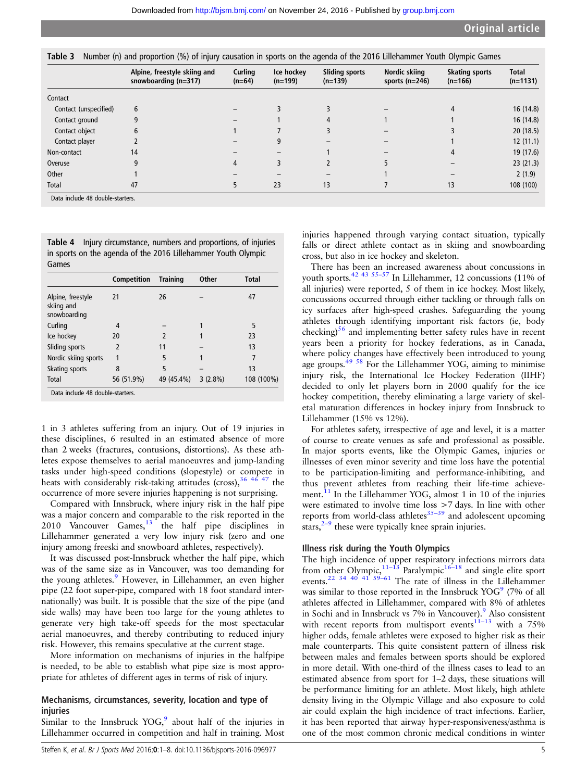<span id="page-4-0"></span>Table 3 Number (n) and proportion (%) of injury causation in sports on the agenda of the 2016 Lillehammer Youth Olympic Games

|                       | Alpine, freestyle skiing and<br>snowboarding $(n=317)$ | Curling<br>$(n=64)$ | Ice hockey<br>$(n=199)$ | <b>Sliding sports</b><br>$(n=139)$ | Nordic skiing<br>sports $(n=246)$ | <b>Skating sports</b><br>$(n=166)$ | <b>Total</b><br>$(n=1131)$ |
|-----------------------|--------------------------------------------------------|---------------------|-------------------------|------------------------------------|-----------------------------------|------------------------------------|----------------------------|
| Contact               |                                                        |                     |                         |                                    |                                   |                                    |                            |
| Contact (unspecified) | 6                                                      |                     |                         |                                    |                                   | 4                                  | 16(14.8)                   |
| Contact ground        | 9                                                      |                     |                         | 4                                  |                                   |                                    | 16(14.8)                   |
| Contact object        | 6                                                      |                     |                         | 3                                  |                                   |                                    | 20(18.5)                   |
| Contact player        |                                                        |                     | 9                       |                                    |                                   |                                    | 12(11.1)                   |
| Non-contact           | 14                                                     |                     |                         |                                    |                                   | 4                                  | 19 (17.6)                  |
| Overuse               | q                                                      | 4                   | 3                       |                                    |                                   |                                    | 23(21.3)                   |
| Other                 |                                                        |                     |                         |                                    |                                   |                                    | 2(1.9)                     |
| Total                 | 47                                                     | 5                   | 23                      | 13                                 |                                   | 13                                 | 108 (100)                  |

Table 4 Injury circumstance, numbers and proportions, of injuries in sports on the agenda of the 2016 Lillehammer Youth Olympic

| Games                                           |                |                 |            |              |
|-------------------------------------------------|----------------|-----------------|------------|--------------|
|                                                 | Competition    | <b>Training</b> | Other      | <b>Total</b> |
| Alpine, freestyle<br>skiing and<br>snowboarding | 21             | 26              |            | 47           |
| Curling                                         | 4              |                 |            | 5            |
| Ice hockey                                      | 20             | $\mathfrak z$   |            | 23           |
| Sliding sports                                  | $\overline{2}$ | 11              |            | 13           |
| Nordic skiing sports                            |                | 5               |            | 7            |
| Skating sports                                  | 8              | 5               |            | 13           |
| Total                                           | 56 (51.9%)     | 49 (45.4%)      | $3(2.8\%)$ | 108 (100%)   |
| Data include 48 double-starters.                |                |                 |            |              |

1 in 3 athletes suffering from an injury. Out of 19 injuries in these disciplines, 6 resulted in an estimated absence of more than 2 weeks (fractures, contusions, distortions). As these athletes expose themselves to aerial manoeuvres and jump-landing tasks under high-speed conditions (slopestyle) or compete in heats with considerably risk-taking attitudes (cross),  $364647$  the occurrence of more severe injuries happening is not surprising.

Compared with Innsbruck, where injury risk in the half pipe was a major concern and comparable to the risk reported in the 2010 Vancouver Games,<sup>[13](#page-6-0)</sup> the half pipe disciplines in Lillehammer generated a very low injury risk (zero and one injury among freeski and snowboard athletes, respectively).

It was discussed post-Innsbruck whether the half pipe, which was of the same size as in Vancouver, was too demanding for the young athletes.<sup>[9](#page-6-0)</sup> However, in Lillehammer, an even higher pipe (22 foot super-pipe, compared with 18 foot standard internationally) was built. It is possible that the size of the pipe (and side walls) may have been too large for the young athletes to generate very high take-off speeds for the most spectacular aerial manoeuvres, and thereby contributing to reduced injury risk. However, this remains speculative at the current stage.

More information on mechanisms of injuries in the halfpipe is needed, to be able to establish what pipe size is most appropriate for athletes of different ages in terms of risk of injury.

# Mechanisms, circumstances, severity, location and type of injuries

Similar to the Innsbruck YOG, $9$  about half of the injuries in Lillehammer occurred in competition and half in training. Most

injuries happened through varying contact situation, typically falls or direct athlete contact as in skiing and snowboarding cross, but also in ice hockey and skeleton.

There has been an increased awareness about concussions in youth sports.<sup>[42 43 55](#page-7-0)-57</sup> In Lillehammer, 12 concussions (11% of all injuries) were reported, 5 of them in ice hockey. Most likely, concussions occurred through either tackling or through falls on icy surfaces after high-speed crashes. Safeguarding the young athletes through identifying important risk factors (ie, body checking)<sup>[56](#page-7-0)</sup> and implementing better safety rules have in recent years been a priority for hockey federations, as in Canada, where policy changes have effectively been introduced to young age groups.<sup>[49 58](#page-7-0)</sup> For the Lillehammer YOG, aiming to minimise injury risk, the International Ice Hockey Federation (IIHF) decided to only let players born in 2000 qualify for the ice hockey competition, thereby eliminating a large variety of skeletal maturation differences in hockey injury from Innsbruck to Lillehammer (15% vs 12%).

For athletes safety, irrespective of age and level, it is a matter of course to create venues as safe and professional as possible. In major sports events, like the Olympic Games, injuries or illnesses of even minor severity and time loss have the potential to be participation-limiting and performance-inhibiting, and thus prevent athletes from reaching their life-time achievement. $^{11}$  $^{11}$  $^{11}$  In the Lillehammer YOG, almost 1 in 10 of the injuries were estimated to involve time loss >7 days. In line with other reports from world-class athletes $35-39$  $35-39$  and adolescent upcoming stars, $2^{-9}$  $2^{-9}$  $2^{-9}$  these were typically knee sprain injuries.

# Illness risk during the Youth Olympics

The high incidence of upper respiratory infections mirrors data from other Olympic,<sup>[11](#page-6-0)–13</sup> Paralympic<sup>[16](#page-7-0)–18</sup> and single elite sport events.<sup>[22 34 40 41 59](#page-7-0)–61</sup> The rate of illness in the Lillehammer was similar to those reported in the Innsbruck  $YOG<sup>9</sup>$  $YOG<sup>9</sup>$  $YOG<sup>9</sup>$  (7% of all athletes affected in Lillehammer, compared with 8% of athletes in Sochi and in Innsbruck vs 7% in Vancouver).<sup>[9](#page-6-0)</sup> Also consistent with recent reports from multisport events<sup>[11](#page-6-0)-13</sup> with a 75% higher odds, female athletes were exposed to higher risk as their male counterparts. This quite consistent pattern of illness risk between males and females between sports should be explored in more detail. With one-third of the illness cases to lead to an estimated absence from sport for 1–2 days, these situations will be performance limiting for an athlete. Most likely, high athlete density living in the Olympic Village and also exposure to cold air could explain the high incidence of tract infections. Earlier, it has been reported that airway hyper-responsiveness/asthma is one of the most common chronic medical conditions in winter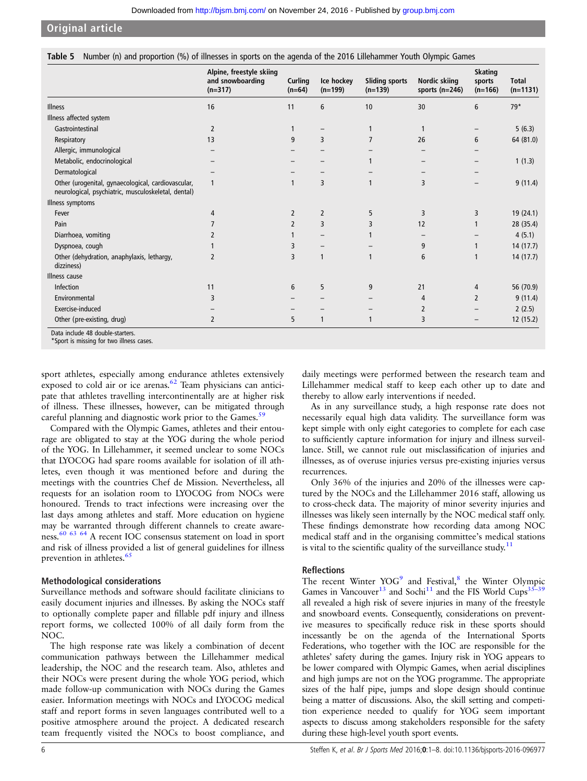<span id="page-5-0"></span>

|  | Table 5 Number (n) and proportion (%) of illnesses in sports on the agenda of the 2016 Lillehammer Youth Olympic Games |
|--|------------------------------------------------------------------------------------------------------------------------|
|  |                                                                                                                        |

|                                                                                                           | Alpine, freestyle skiing<br>and snowboarding<br>$(n=317)$ | Curling<br>$(n=64)$ | Ice hockey<br>$(n=199)$ | <b>Sliding sports</b><br>$(n=139)$ | Nordic skiing<br>sports $(n=246)$ | <b>Skating</b><br>sports<br>$(n=166)$ | <b>Total</b><br>$(n=1131)$ |
|-----------------------------------------------------------------------------------------------------------|-----------------------------------------------------------|---------------------|-------------------------|------------------------------------|-----------------------------------|---------------------------------------|----------------------------|
| <b>Illness</b>                                                                                            | 16                                                        | 11                  | 6                       | 10                                 | 30                                | 6                                     | $79*$                      |
| Illness affected system                                                                                   |                                                           |                     |                         |                                    |                                   |                                       |                            |
| Gastrointestinal                                                                                          | 2                                                         |                     |                         |                                    | -1                                |                                       | 5(6.3)                     |
| Respiratory                                                                                               | 13                                                        | 9                   | 3                       |                                    | 26                                | 6                                     | 64 (81.0)                  |
| Allergic, immunological                                                                                   |                                                           |                     |                         |                                    |                                   |                                       |                            |
| Metabolic, endocrinological                                                                               |                                                           |                     |                         |                                    |                                   |                                       | 1(1.3)                     |
| Dermatological                                                                                            |                                                           |                     |                         |                                    |                                   |                                       |                            |
| Other (urogenital, gynaecological, cardiovascular,<br>neurological, psychiatric, musculoskeletal, dental) | 1                                                         |                     | 3                       |                                    | 3                                 |                                       | 9(11.4)                    |
| Illness symptoms                                                                                          |                                                           |                     |                         |                                    |                                   |                                       |                            |
| Fever                                                                                                     | 4                                                         | $\overline{2}$      | $\overline{2}$          | 5                                  | 3                                 | 3                                     | 19 (24.1)                  |
| Pain                                                                                                      |                                                           | $\overline{2}$      | 3                       | 3                                  | 12                                |                                       | 28 (35.4)                  |
| Diarrhoea, vomiting                                                                                       |                                                           |                     |                         |                                    |                                   |                                       | 4(5.1)                     |
| Dyspnoea, cough                                                                                           |                                                           | 3                   |                         |                                    | 9                                 |                                       | 14(17.7)                   |
| Other (dehydration, anaphylaxis, lethargy,<br>dizziness)                                                  |                                                           | 3                   | 1                       |                                    | 6                                 | $\mathbf{1}$                          | 14 (17.7)                  |
| Illness cause                                                                                             |                                                           |                     |                         |                                    |                                   |                                       |                            |
| Infection                                                                                                 | 11                                                        | 6                   | 5                       | 9                                  | 21                                | 4                                     | 56 (70.9)                  |
| Environmental                                                                                             | 3                                                         |                     |                         |                                    | 4                                 | $\overline{2}$                        | 9(11.4)                    |
| Exercise-induced                                                                                          |                                                           |                     |                         |                                    | 2                                 |                                       | 2(2.5)                     |
| Other (pre-existing, drug)                                                                                | $\overline{2}$                                            | 5                   | $\mathbf{1}$            | $\mathbf{1}$                       | 3                                 |                                       | 12 (15.2)                  |

Data include 48 double-starters. \*Sport is missing for two illness cases.

sport athletes, especially among endurance athletes extensively exposed to cold air or ice arenas.<sup>62</sup> Team physicians can anticipate that athletes travelling intercontinentally are at higher risk of illness. These illnesses, however, can be mitigated through careful planning and diagnostic work prior to the Games.<sup>[59](#page-7-0)</sup>

Compared with the Olympic Games, athletes and their entourage are obligated to stay at the YOG during the whole period of the YOG. In Lillehammer, it seemed unclear to some NOCs that LYOCOG had spare rooms available for isolation of ill athletes, even though it was mentioned before and during the meetings with the countries Chef de Mission. Nevertheless, all requests for an isolation room to LYOCOG from NOCs were honoured. Trends to tract infections were increasing over the last days among athletes and staff. More education on hygiene may be warranted through different channels to create awareness.[60 63 64](#page-7-0) A recent IOC consensus statement on load in sport and risk of illness provided a list of general guidelines for illness prevention in athletes.<sup>[65](#page-7-0)</sup>

# Methodological considerations

Surveillance methods and software should facilitate clinicians to easily document injuries and illnesses. By asking the NOCs staff to optionally complete paper and fillable pdf injury and illness report forms, we collected 100% of all daily form from the NOC.

The high response rate was likely a combination of decent communication pathways between the Lillehammer medical leadership, the NOC and the research team. Also, athletes and their NOCs were present during the whole YOG period, which made follow-up communication with NOCs during the Games easier. Information meetings with NOCs and LYOCOG medical staff and report forms in seven languages contributed well to a positive atmosphere around the project. A dedicated research team frequently visited the NOCs to boost compliance, and

daily meetings were performed between the research team and Lillehammer medical staff to keep each other up to date and thereby to allow early interventions if needed.

As in any surveillance study, a high response rate does not necessarily equal high data validity. The surveillance form was kept simple with only eight categories to complete for each case to sufficiently capture information for injury and illness surveillance. Still, we cannot rule out misclassification of injuries and illnesses, as of overuse injuries versus pre-existing injuries versus recurrences.

Only 36% of the injuries and 20% of the illnesses were captured by the NOCs and the Lillehammer 2016 staff, allowing us to cross-check data. The majority of minor severity injuries and illnesses was likely seen internally by the NOC medical staff only. These findings demonstrate how recording data among NOC medical staff and in the organising committee's medical stations is vital to the scientific quality of the surveillance study. $11$ 

# Reflections

The recent Winter YOG<sup>9</sup> and Festival,  $8$  the Winter Olympic Games in Vancouver<sup>13</sup> and Sochi<sup>11</sup> and the FIS World Cups<sup>35–39</sup> all revealed a high risk of severe injuries in many of the freestyle and snowboard events. Consequently, considerations on preventive measures to specifically reduce risk in these sports should incessantly be on the agenda of the International Sports Federations, who together with the IOC are responsible for the athletes' safety during the games. Injury risk in YOG appears to be lower compared with Olympic Games, when aerial disciplines and high jumps are not on the YOG programme. The appropriate sizes of the half pipe, jumps and slope design should continue being a matter of discussions. Also, the skill setting and competition experience needed to qualify for YOG seem important aspects to discuss among stakeholders responsible for the safety during these high-level youth sport events.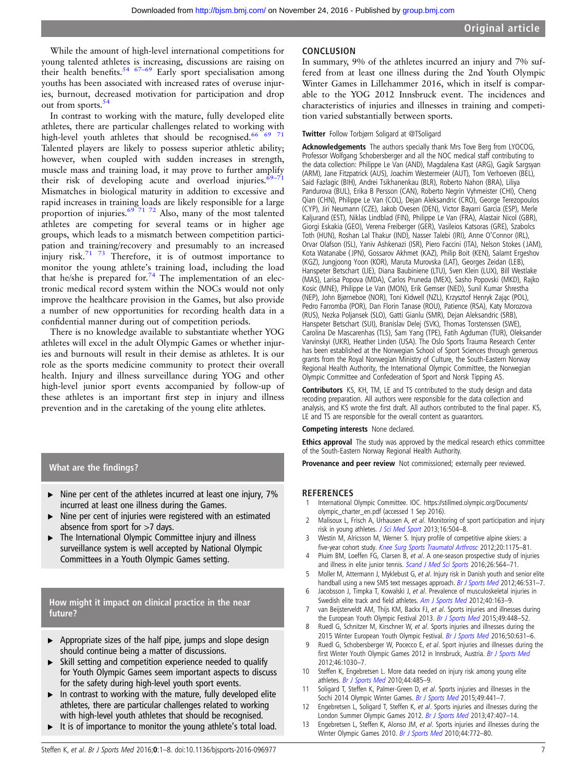<span id="page-6-0"></span>While the amount of high-level international competitions for young talented athletes is increasing, discussions are raising on their health benefits.<sup>[54 67](#page-7-0)–69</sup> Early sport specialisation among youths has been associated with increased rates of overuse injuries, burnout, decreased motivation for participation and drop out from sports.<sup>5</sup>

In contrast to working with the mature, fully developed elite athletes, there are particular challenges related to working with high-level youth athletes that should be recognised.<sup>66 69</sup> Talented players are likely to possess superior athletic ability; however, when coupled with sudden increases in strength, muscle mass and training load, it may prove to further amplify their risk of developing acute and overload injuries. $69-71$  $69-71$ Mismatches in biological maturity in addition to excessive and rapid increases in training loads are likely responsible for a large proportion of injuries.<sup>[69 71 72](#page-7-0)</sup> Also, many of the most talented athletes are competing for several teams or in higher age groups, which leads to a mismatch between competition participation and training/recovery and presumably to an increased injury risk. $71 \t 73$  Therefore, it is of outmost importance to monitor the young athlete's training load, including the load that he/she is prepared for.<sup>[74](#page-7-0)</sup> The implementation of an electronic medical record system within the NOCs would not only improve the healthcare provision in the Games, but also provide a number of new opportunities for recording health data in a confidential manner during out of competition periods.

There is no knowledge available to substantiate whether YOG athletes will excel in the adult Olympic Games or whether injuries and burnouts will result in their demise as athletes. It is our role as the sports medicine community to protect their overall health. Injury and illness surveillance during YOG and other high-level junior sport events accompanied by follow-up of these athletes is an important first step in injury and illness prevention and in the caretaking of the young elite athletes.

#### What are the findings?

- ▸ Nine per cent of the athletes incurred at least one injury, 7% incurred at least one illness during the Games.
- ▸ Nine per cent of injuries were registered with an estimated absence from sport for >7 days.
- The International Olympic Committee injury and illness surveillance system is well accepted by National Olympic Committees in a Youth Olympic Games setting.

# How might it impact on clinical practice in the near future?

- $\blacktriangleright$  Appropriate sizes of the half pipe, jumps and slope design should continue being a matter of discussions.
- ▸ Skill setting and competition experience needed to qualify for Youth Olympic Games seem important aspects to discuss for the safety during high-level youth sport events.
- $\blacktriangleright$  In contrast to working with the mature, fully developed elite athletes, there are particular challenges related to working with high-level youth athletes that should be recognised.
- ► It is of importance to monitor the young athlete's total load.

## **CONCLUSION**

In summary, 9% of the athletes incurred an injury and 7% suffered from at least one illness during the 2nd Youth Olympic Winter Games in Lillehammer 2016, which in itself is comparable to the YOG 2012 Innsbruck event. The incidences and characteristics of injuries and illnesses in training and competition varied substantially between sports.

#### Twitter Follow Torbjørn Soligard at [@TSoligard](http://twitter.com/TSoligard)

Acknowledgements The authors specially thank Mrs Tove Berg from LYOCOG, Professor Wolfgang Schobersberger and all the NOC medical staff contributing to the data collection: Philippe Le Van (AND), Magdalena Kast (ARG), Gagik Sargsyan (ARM), Jane Fitzpatrick (AUS), Joachim Westermeier (AUT), Tom Verhoeven (BEL), Said Fazlagic (BIH), Andrei Tsikhanenkau (BLR), Roberto Nahon (BRA), Liliya Pandurova (BUL), Erika B Persson (CAN), Roberto Negrin Vyhmeister (CHI), Cheng Qian (CHN), Philippe Le Van (COL), Dejan Aleksandric (CRO), George Terezopoulos (CYP), Jiri Neumann (CZE), Jakob Ovesen (DEN), Victor Bayarri Garcia (ESP), Merle Kaljurand (EST), Niklas Lindblad (FIN), Philippe Le Van (FRA), Alastair Nicol (GBR), Giorgi Eskakia (GEO), Verena Freiberger (GER), Vasileios Katsoras (GRE), Szabolcs Toth (HUN), Roshan Lal Thakur (IND), Nasser Talebi (IRI), Anne O'Connor (IRL), Orvar Olafson (ISL), Yaniv Ashkenazi (ISR), Piero Faccini (ITA), Nelson Stokes ( JAM), Kota Watanabe ( JPN), Gossarov Akhmet (KAZ), Philip Boit (KEN), Salamt Ergeshov (KGZ), Jungjoong Yoon (KOR), Maruta Murovska (LAT), Georges Zeidan (LEB), Hanspeter Betschart (LIE), Diana Baubiniene (LTU), Sven Klein (LUX), Bill Westlake (MAS), Larisa Popova (MDA), Carlos Pruneda (MEX), Sasho Popovski (MKD), Rajko Kosic (MNE), Philippe Le Van (MON), Erik Gemser (NED), Sunil Kumar Shrestha (NEP), John Bjørneboe (NOR), Toni Kidwell (NZL), Krzysztof Henryk Zając (POL), Pedro Farromba (POR), Dan Florin Tanase (ROU), Patience (RSA), Katy Morozova (RUS), Nezka Poljansek (SLO), Gatti Gianlu (SMR), Dejan Aleksandric (SRB), Hanspeter Betschart (SUI), Branislav Delej (SVK), Thomas Torstenssen (SWE), Carolina De Mascarenhas (TLS), Sam Yang (TPE), Fatih Agduman (TUR), Oleksander Varvinskyi (UKR), Heather Linden (USA). The Oslo Sports Trauma Research Center has been established at the Norwegian School of Sport Sciences through generous grants from the Royal Norwegian Ministry of Culture, the South-Eastern Norway Regional Health Authority, the International Olympic Committee, the Norwegian Olympic Committee and Confederation of Sport and Norsk Tipping AS.

Contributors KS, KH, TM, LE and TS contributed to the study design and data recoding preparation. All authors were responsible for the data collection and analysis, and KS wrote the first draft. All authors contributed to the final paper. KS, LE and TS are responsible for the overall content as guarantors.

#### Competing interests None declared.

**Ethics approval** The study was approved by the medical research ethics committee of the South-Eastern Norway Regional Health Authority.

Provenance and peer review Not commissioned; externally peer reviewed.

#### **REFERENCES**

- 1 International Olympic Committee. IOC. [https://stillmed.olympic.org/Documents/](https://stillmed.olympic.org/Documents/olympic_charter_en.pdf) [olympic\\_charter\\_en.pdf](https://stillmed.olympic.org/Documents/olympic_charter_en.pdf) (accessed 1 Sep 2016).
- 2 Malisoux L, Frisch A, Urhausen A, et al. Monitoring of sport participation and injury risk in young athletes. [J Sci Med Sport](http://dx.doi.org/10.1016/j.jsams.2013.01.008) 2013;16:504-8.
- Westin M, Alricsson M, Werner S. Injury profile of competitive alpine skiers: a five-year cohort study. [Knee Surg Sports Traumatol Arthrosc](http://dx.doi.org/10.1007/s00167-012-1921-x) 2012;20:1175-81.
- 4 Pluim BM, Loeffen FG, Clarsen B, et al. A one-season prospective study of injuries and illness in elite junior tennis. [Scand J Med Sci Sports](http://dx.doi.org/10.1111/sms.12471) 2016;26:564-71.
- 5 Moller M, Attermann J, Myklebust G, et al. Injury risk in Danish youth and senior elite handball using a new SMS text messages approach. [Br J Sports Med](http://dx.doi.org/10.1136/bjsports-2012-091022) 2012;46:531-7.
- 6 Jacobsson J, Timpka T, Kowalski J, et al. Prevalence of musculoskeletal injuries in Swedish elite track and field athletes. [Am J Sports Med](http://dx.doi.org/10.1177/0363546511425467) 2012;40:163-9.
- 7 van Beijsterveldt AM, Thijs KM, Backx FJ, et al. Sports injuries and illnesses during the European Youth Olympic Festival 2013. [Br J Sports Med](http://dx.doi.org/10.1136/bjsports-2014-094035) 2015;49:448-52.
- Ruedl G, Schnitzer M, Kirschner W, et al. Sports injuries and illnesses during the 2015 Winter European Youth Olympic Festival. [Br J Sports Med](http://dx.doi.org/10.1136/bjsports-2015-095665) 2016;50:631-6.
- 9 Ruedl G, Schobersberger W, Pocecco E, et al. Sport injuries and illnesses during the first Winter Youth Olympic Games 2012 in Innsbruck, Austria. [Br J Sports Med](http://dx.doi.org/10.1136/bjsports-2012-091534) 2012;46:1030–7.
- 10 Steffen K, Engebretsen L. More data needed on injury risk among young elite athletes. [Br J Sports Med](http://dx.doi.org/10.1136/bjsm.2010.073833) 2010;44:485–9.
- 11 Soligard T, Steffen K, Palmer-Green D, et al. Sports injuries and illnesses in the Sochi 2014 Olympic Winter Games. [Br J Sports Med](http://dx.doi.org/10.1136/bjsports-2014-094538) 2015;49:441-7.
- 12 Engebretsen L, Soligard T, Steffen K, et al. Sports injuries and illnesses during the London Summer Olympic Games 2012. [Br J Sports Med](http://dx.doi.org/10.1136/bjsports-2013-092380) 2013;47:407–14.
- 13 Engebretsen L, Steffen K, Alonso JM, et al. Sports injuries and illnesses during the Winter Olympic Games 2010. [Br J Sports Med](http://dx.doi.org/10.1136/bjsm.2010.076992) 2010;44:772-80.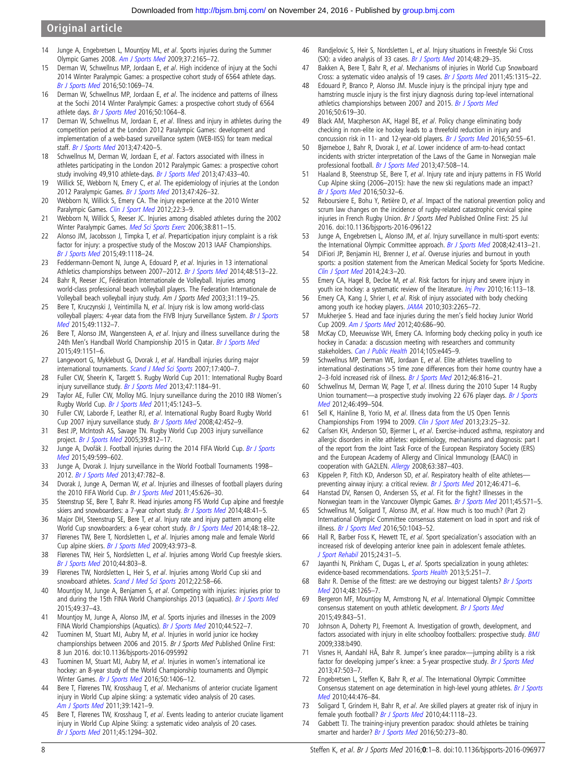- <span id="page-7-0"></span>14 Junge A, Engebretsen L, Mountjoy ML, et al. Sports injuries during the Summer Olympic Games 2008. [Am J Sports Med](http://dx.doi.org/10.1177/0363546509339357) 2009;37:2165–72.
- 15 Derman W, Schwellnus MP, Jordaan E, et al. High incidence of injury at the Sochi 2014 Winter Paralympic Games: a prospective cohort study of 6564 athlete days. [Br J Sports Med](http://dx.doi.org/10.1136/bjsports-2016-096214) 2016;50:1069–74.
- 16 Derman W, Schwellnus MP, Jordaan E, et al. The incidence and patterns of illness at the Sochi 2014 Winter Paralympic Games: a prospective cohort study of 6564 athlete days. [Br J Sports Med](http://dx.doi.org/10.1136/bjsports-2016-096215) 2016;50:1064-8.
- 17 Derman W, Schwellnus M, Jordaan E, et al. Illness and injury in athletes during the competition period at the London 2012 Paralympic Games: development and implementation of a web-based surveillance system (WEB-IISS) for team medical staff. [Br J Sports Med](http://dx.doi.org/10.1136/bjsports-2013-092375) 2013;47:420–5.
- 18 Schwellnus M, Derman W, Jordaan E, et al. Factors associated with illness in athletes participating in the London 2012 Paralympic Games: a prospective cohort study involving 49,910 athlete-days. [Br J Sports Med](http://dx.doi.org/10.1136/bjsports-2013-092371) 2013;47:433–40.
- 19 Willick SE, Webborn N, Emery C, et al. The epidemiology of injuries at the London 2012 Paralympic Games. [Br J Sports Med](http://dx.doi.org/10.1136/bjsports-2013-092374) 2013;47:426-32.
- 20 Webborn N, Willick S, Emery CA. The injury experience at the 2010 Winter Paralympic Games. [Clin J Sport Med](http://dx.doi.org/10.1097/JSM.0b013e318243309f) 2012;22:3-9.
- 21 Webborn N, Willick S, Reeser JC. Injuries among disabled athletes during the 2002 Winter Paralympic Games. [Med Sci Sports Exerc](http://dx.doi.org/10.1249/01.mss.0000218120.05244.da) 2006;38:811-15.
- 22 Alonso JM, Jacobsson J, Timpka T, et al. Preparticipation injury complaint is a risk factor for injury: a prospective study of the Moscow 2013 IAAF Championships. [Br J Sports Med](http://dx.doi.org/10.1136/bjsports-2014-094359) 2015;49:1118–24.
- 23 Feddermann-Demont N, Junge A, Edouard P, et al. Injuries in 13 international Athletics championships between 2007-2012. [Br J Sports Med](http://dx.doi.org/10.1136/bjsports-2013-093087) 2014;48:513-22.
- 24 Bahr R, Reeser JC, Fédération Internationale de Volleyball. Injuries among world-class professional beach volleyball players. The Federation Internationale de Volleyball beach volleyball injury study. Am J Sports Med 2003;31:119–25.
- 25 Bere T, Kruczynski J, Veintimilla N, et al. Injury risk is low among world-class volleyball players: 4-year data from the FIVB Injury Surveillance System. [Br J Sports](http://dx.doi.org/10.1136/bjsports-2015-094959) [Med](http://dx.doi.org/10.1136/bjsports-2015-094959) 2015;49:1132–7.
- 26 Bere T, Alonso JM, Wangensteen A, et al. Injury and illness surveillance during the 24th Men's Handball World Championship 2015 in Qatar. Br J [Sports Med](http://dx.doi.org/10.1136/bjsports-2015-094972) 2015;49:1151–6.
- 27 Langevoort G, Myklebust G, Dvorak J, et al. Handball injuries during major international tournaments. [Scand J Med Sci Sports](http://dx.doi.org/10.1111/j.1600-0838.2006.00587.x) 2007;17:400–7.
- 28 Fuller CW, Sheerin K, Targett S. Rugby World Cup 2011: International Rugby Board injury surveillance study. [Br J Sports Med](http://dx.doi.org/10.1136/bjsports-2012-091155) 2013;47:1184-91.
- 29 Taylor AE, Fuller CW, Molloy MG. Injury surveillance during the 2010 IRB Women's Rugby World Cup. [Br J Sports Med](http://dx.doi.org/10.1136/bjsports-2011-090024) 2011;45:1243–5.
- 30 Fuller CW, Laborde F, Leather RJ, et al. International Rugby Board Rugby World Cup 2007 injury surveillance study. [Br J Sports Med](http://dx.doi.org/10.1136/bjsm.2008.047035) 2008;42:452-9.
- 31 Best JP, McIntosh AS, Savage TN. Rugby World Cup 2003 injury surveillance project. [Br J Sports Med](http://dx.doi.org/10.1136/bjsm.2004.016402) 2005;39:812–17.
- 32 Junge A, Dvořák J. Football injuries during the 2014 FIFA World Cup. [Br J Sports](http://dx.doi.org/10.1136/bjsports-2014-094469) [Med](http://dx.doi.org/10.1136/bjsports-2014-094469) 2015;49:599–602.
- 33 Junge A, Dvorak J. Injury surveillance in the World Football Tournaments 1998– 2012. [Br J Sports Med](http://dx.doi.org/10.1136/bjsports-2013-092205) 2013;47:782-8.
- 34 Dvorak J, Junge A, Derman W, et al. Injuries and illnesses of football players during the 2010 FIFA World Cup. [Br J Sports Med](http://dx.doi.org/10.1136/bjsm.2010.079905) 2011;45:626-30.
- 35 Steenstrup SE, Bere T, Bahr R. Head injuries among FIS World Cup alpine and freestyle skiers and snowboarders: a 7-year cohort study. [Br J Sports Med](http://dx.doi.org/10.1136/bjsports-2013-093145) 2014;48:41-5.
- 36 Major DH, Steenstrup SE, Bere T, et al. Injury rate and injury pattern among elite World Cup snowboarders: a 6-year cohort study. [Br J Sports Med](http://dx.doi.org/10.1136/bjsports-2013-092573) 2014;48:18-22.
- 37 Flørenes TW, Bere T, Nordsletten L, et al. Injuries among male and female World Cup alpine skiers. [Br J Sports Med](http://dx.doi.org/10.1136/bjsm.2009.068759) 2009;43:973-8.
- 38 Flørenes TW, Heir S, Nordsletten L, et al. Injuries among World Cup freestyle skiers. [Br J Sports Med](http://dx.doi.org/10.1136/bjsm.2009.071159) 2010;44:803–8.
- 39 Flørenes TW, Nordsletten L, Heir S, et al. Injuries among World Cup ski and snowboard athletes. [Scand J Med Sci Sports](http://dx.doi.org/10.1111/j.1600-0838.2010.01147.x) 2012;22:58-66.
- 40 Mountjoy M, Junge A, Benjamen S, et al. Competing with injuries: injuries prior to and during the 15th FINA World Championships 2013 (aquatics). [Br J Sports Med](http://dx.doi.org/10.1136/bjsports-2014-093991) 2015;49:37–43.
- 41 Mountjoy M, Junge A, Alonso JM, et al. Sports injuries and illnesses in the 2009 FINA World Championships (Aquatics). [Br J Sports Med](http://dx.doi.org/10.1136/bjsm.2010.071720) 2010;44:522-7.
- 42 Tuominen M, Stuart MJ, Aubry M, et al. Injuries in world junior ice hockey championships between 2006 and 2015. Br J Sports Med Published Online First: 8 Jun 2016. doi:10.1136/bjsports-2016-095992
- 43 Tuominen M, Stuart MJ, Aubry M, et al. Injuries in women's international ice hockey: an 8-year study of the World Championship tournaments and Olympic Winter Games. [Br J Sports Med](http://dx.doi.org/10.1136/bjsports-2015-094647) 2016;50:1406-12.
- 44 Bere T, Flørenes TW, Krosshaug T, et al. Mechanisms of anterior cruciate ligament injury in World Cup alpine skiing: a systematic video analysis of 20 cases. [Am J Sports Med](http://dx.doi.org/10.1177/0363546511405147) 2011;39:1421–9.
- 45 Bere T, Flørenes TW, Krosshaug T, et al. Events leading to anterior cruciate ligament injury in World Cup Alpine Skiing: a systematic video analysis of 20 cases. [Br J Sports Med](http://dx.doi.org/10.1136/bjsports-2011-090517) 2011;45:1294–302.
- 46 Randjelovic S, Heir S, Nordsletten L, et al. Injury situations in Freestyle Ski Cross (SX): a video analysis of 33 cases. [Br J Sports Med](http://dx.doi.org/10.1136/bjsports-2012-091999) 2014;48:29-35.
- 47 Bakken A, Bere T, Bahr R, et al. Mechanisms of injuries in World Cup Snowboard Cross: a systematic video analysis of 19 cases. [Br J Sports Med](http://dx.doi.org/10.1136/bjsports-2011-090527) 2011;45:1315-22.
- Edouard P, Branco P, Alonso JM. Muscle injury is the principal injury type and hamstring muscle injury is the first injury diagnosis during top-level international athletics championships between 2007 and 2015. [Br J Sports Med](http://dx.doi.org/10.1136/bjsports-2015-095559) 2016;50:619–30.
- 49 Black AM, Macpherson AK, Hagel BE, et al. Policy change eliminating body checking in non-elite ice hockey leads to a threefold reduction in injury and concussion risk in 11- and 12-year-old players. [Br J Sports Med](http://dx.doi.org/10.1136/bjsports-2015-095103) 2016;50:55-61.
- 50 Bjørneboe J, Bahr R, Dvorak J, et al. Lower incidence of arm-to-head contact incidents with stricter interpretation of the Laws of the Game in Norwegian male professional football. [Br J Sports Med](http://dx.doi.org/10.1136/bjsports-2012-091522) 2013;47:508-14.
- 51 Haaland B, Steenstrup SE, Bere T, et al. Injury rate and injury patterns in FIS World Cup Alpine skiing (2006–2015): have the new ski regulations made an impact? [Br J Sports Med](http://dx.doi.org/10.1136/bjsports-2015-095467) 2016;50:32–6.
- 52 Reboursiere E, Bohu Y, Retière D, et al. Impact of the national prevention policy and scrum law changes on the incidence of rugby-related catastrophic cervical spine injuries in French Rugby Union. Br J Sports Med Published Online First: 25 Jul 2016. doi:10.1136/bjsports-2016-096122
- Junge A, Engebretsen L, Alonso JM, et al. Injury surveillance in multi-sport events: the International Olympic Committee approach. [Br J Sports Med](http://dx.doi.org/10.1136/bjsm.2008.046631) 2008;42:413-21.
- 54 DiFiori JP, Benjamin HJ, Brenner J, et al. Overuse injuries and burnout in youth sports: a position statement from the American Medical Society for Sports Medicine. [Clin J Sport Med](http://dx.doi.org/10.1097/JSM.0000000000000060) 2014;24:3–20.
- 55 Emery CA, Hagel B, Decloe M, et al. Risk factors for injury and severe injury in youth ice hockey: a systematic review of the literature. [Inj Prev](http://dx.doi.org/10.1136/ip.2009.022764) 2010;16:113-18.
- 56 Emery CA, Kang J, Shrier I, et al. Risk of injury associated with body checking among youth ice hockey players. [JAMA](http://dx.doi.org/10.1001/jama.2010.755) 2010;303:2265-72.
- 57 Mukherjee S. Head and face injuries during the men's field hockey Junior World Cup 2009. [Am J Sports Med](http://dx.doi.org/10.1177/0363546511426697) 2012;40:686-90.
- 58 McKay CD, Meeuwisse WH, Emery CA. Informing body checking policy in youth ice hockey in Canada: a discussion meeting with researchers and community stakeholders. [Can J Public Health](http://dx.doi.org/10.17269/cjph.105.4653) 2014;105:e445-9.
- 59 Schwellnus MP, Derman WE, Jordaan E, et al. Elite athletes travelling to international destinations >5 time zone differences from their home country have a 2-3-fold increased risk of illness. [Br J Sports Med](http://dx.doi.org/10.1136/bjsports-2012-091395) 2012;46:816-21.
- 60 Schwellnus M, Derman W, Page T, et al. Illness during the 2010 Super 14 Rugby Union tournament—a prospective study involving 22 676 player days. [Br J Sports](http://dx.doi.org/10.1136/bjsports-2012-091046) [Med](http://dx.doi.org/10.1136/bjsports-2012-091046) 2012;46:499–504.
- Sell K, Hainline B, Yorio M, et al. Illness data from the US Open Tennis Championships From 1994 to 2009. [Clin J Sport Med](http://dx.doi.org/10.1097/JSM.0b013e31826b7e52) 2013;23:25–32.
- 62 Carlsen KH, Anderson SD, Bjermer L, et al. Exercise-induced asthma, respiratory and allergic disorders in elite athletes: epidemiology, mechanisms and diagnosis: part I of the report from the Joint Task Force of the European Respiratory Society (ERS) and the European Academy of Allergy and Clinical Immunology (EAACI) in cooperation with GA2LEN. [Allergy](http://dx.doi.org/10.1111/j.1398-9995.2008.01662.x) 2008;63:387–403.
- 63 Kippelen P, Fitch KD, Anderson SD, et al. Respiratory health of elite athletes-preventing airway injury: a critical review. [Br J Sports Med](http://dx.doi.org/10.1136/bjsports-2012-091056) 2012;46:471-6.
- 64 Hanstad DV, Rønsen O, Andersen SS, et al. Fit for the fight? Illnesses in the Norwegian team in the Vancouver Olympic Games. [Br J Sports Med](http://dx.doi.org/10.1136/bjsm.2010.081364) 2011;45:571-5.
- 65 Schwellnus M, Soligard T, Alonso JM, et al. How much is too much? (Part 2) International Olympic Committee consensus statement on load in sport and risk of illness. [Br J Sports Med](http://dx.doi.org/10.1136/bjsports-2016-096572) 2016;50:1043–52.
- 66 Hall R, Barber Foss K, Hewett TE, et al. Sport specialization's association with an increased risk of developing anterior knee pain in adolescent female athletes. [J Sport Rehabil](http://dx.doi.org/10.1123/jsr.2013-0101) 2015;24:31–5.
- 67 Jayanthi N, Pinkham C, Dugas L, et al. Sports specialization in young athletes: evidence-based recommendations. [Sports Health](http://dx.doi.org/10.1177/1941738112464626) 2013;5:251-7.
- 68 Bahr R. Demise of the fittest: are we destroying our biggest talents? [Br J Sports](http://dx.doi.org/10.1136/bjsports-2014-093832) [Med](http://dx.doi.org/10.1136/bjsports-2014-093832) 2014;48:1265–7.
- 69 Bergeron MF, Mountjoy M, Armstrong N, et al. International Olympic Committee consensus statement on youth athletic development. [Br J Sports Med](http://dx.doi.org/10.1136/bjsports-2015-094962) 2015;49:843–51.
- 70 Johnson A, Doherty PJ, Freemont A. Investigation of growth, development, and factors associated with injury in elite schoolboy footballers: prospective study. [BMJ](http://dx.doi.org/10.1136/bmj.b490) 2009;338:b490.
- 71 Visnes H, Aandahl HÅ, Bahr R. Jumper's knee paradox—jumping ability is a risk factor for developing jumper's knee: a 5-year prospective study. [Br J Sports Med](http://dx.doi.org/10.1136/bjsports-2012-091385) 2013;47:503–7.
- 72 Engebretsen L, Steffen K, Bahr R, et al. The International Olympic Committee Consensus statement on age determination in high-level young athletes. [Br J Sports](http://dx.doi.org/10.1136/bjsm.2010.073122) [Med](http://dx.doi.org/10.1136/bjsm.2010.073122) 2010;44:476–84.
- 73 Soligard T, Grindem H, Bahr R, et al. Are skilled players at greater risk of injury in female youth football? [Br J Sports Med](http://dx.doi.org/10.1136/bjsm.2010.075093) 2010;44:1118-23.
- 74 Gabbett TJ. The training-injury prevention paradox: should athletes be training smarter and harder? [Br J Sports Med](http://dx.doi.org/10.1136/bjsports-2015-095788) 2016;50:273-80.